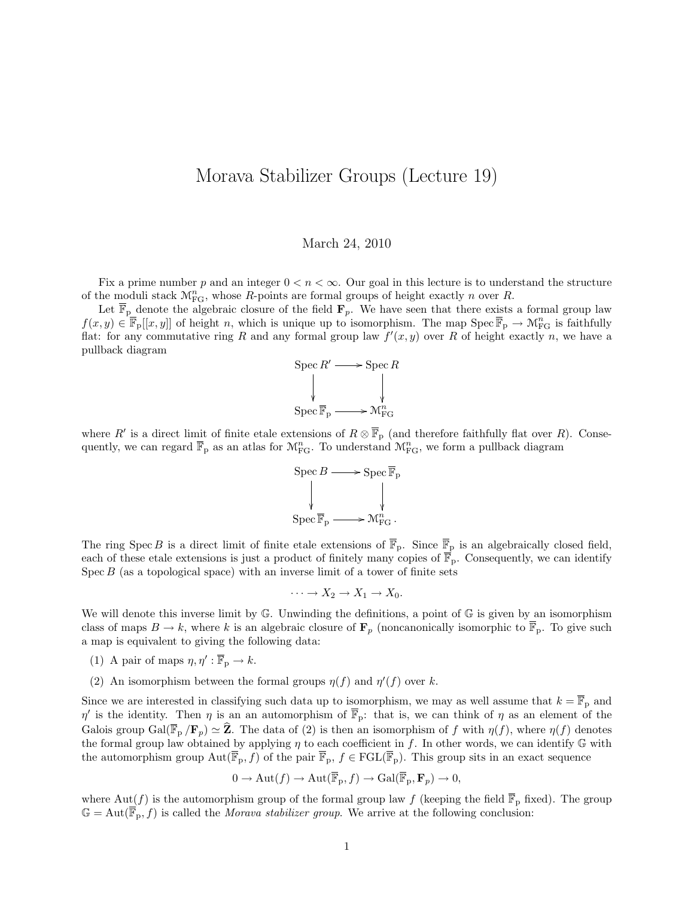## Morava Stabilizer Groups (Lecture 19)

## March 24, 2010

Fix a prime number p and an integer  $0 < n < \infty$ . Our goal in this lecture is to understand the structure of the moduli stack  $\mathcal{M}_{FG}^n$ , whose R-points are formal groups of height exactly n over R.

Let  $\overline{\mathbb{F}}_{p}$  denote the algebraic closure of the field  $\mathbf{F}_p$ . We have seen that there exists a formal group law  $f(x, y) \in \overline{\mathbb{F}}_{p}[[x, y]]$  of height n, which is unique up to isomorphism. The map  $\text{Spec } \overline{\mathbb{F}}_{p} \to \mathcal{M}_{FG}^{n}$  is faithfully flat: for any commutative ring R and any formal group law  $f'(x, y)$  over R of height exactly n, we have a pullback diagram



where R' is a direct limit of finite etale extensions of  $R \otimes \overline{\mathbb{F}}_p$  (and therefore faithfully flat over R). Consequently, we can regard  $\overline{\mathbb{F}}_p$  as an atlas for  $\mathcal{M}_{FG}^n$ . To understand  $\mathcal{M}_{FG}^n$ , we form a pullback diagram

$$
\operatorname{Spec} B \longrightarrow \operatorname{Spec} \overline{\mathbb{F}}_p
$$
  
\$\downarrow\$  

$$
\operatorname{Spec} \overline{\mathbb{F}}_p \longrightarrow \mathcal{M}_{FG}^n.
$$

The ring Spec B is a direct limit of finite etale extensions of  $\overline{\mathbb{F}}_p$ . Since  $\overline{\mathbb{F}}_p$  is an algebraically closed field, each of these etale extensions is just a product of finitely many copies of  $\overline{\mathbb{F}}_p$ . Consequently, we can identify  $Spec B$  (as a topological space) with an inverse limit of a tower of finite sets

$$
\cdots \to X_2 \to X_1 \to X_0.
$$

We will denote this inverse limit by  $\mathbb{G}$ . Unwinding the definitions, a point of  $\mathbb{G}$  is given by an isomorphism class of maps  $B \to k$ , where k is an algebraic closure of  $\mathbf{F}_p$  (noncanonically isomorphic to  $\overline{\mathbb{F}}_p$ . To give such a map is equivalent to giving the following data:

- (1) A pair of maps  $\eta, \eta' : \overline{\mathbb{F}}_p \to k$ .
- (2) An isomorphism between the formal groups  $\eta(f)$  and  $\eta'(f)$  over k.

Since we are interested in classifying such data up to isomorphism, we may as well assume that  $k = \overline{\mathbb{F}}_p$  and  $\eta'$  is the identity. Then  $\eta$  is an an automorphism of  $\overline{\mathbb{F}}_p$ : that is, we can think of  $\eta$  as an element of the Galois group  $Gal(\overline{\mathbb{F}}_p/\mathbf{F}_p) \simeq \widehat{\mathbf{Z}}$ . The data of (2) is then an isomorphism of f with  $\eta(f)$ , where  $\eta(f)$  denotes the formal group law obtained by applying  $\eta$  to each coefficient in f. In other words, we can identify  $\mathbb G$  with the automorphism group  $Aut(\overline{\mathbb{F}}_p, f)$  of the pair  $\overline{\mathbb{F}}_p, f \in FGL(\overline{\mathbb{F}}_p)$ . This group sits in an exact sequence

$$
0 \to \mathrm{Aut}(f) \to \mathrm{Aut}(\overline{\mathbb{F}}_p, f) \to \mathrm{Gal}(\overline{\mathbb{F}}_p, \mathbf{F}_p) \to 0,
$$

where  $Aut(f)$  is the automorphism group of the formal group law f (keeping the field  $\overline{\mathbb{F}}_p$  fixed). The group  $\mathbb{G} = \text{Aut}(\overline{\mathbb{F}}_p, f)$  is called the *Morava stabilizer group*. We arrive at the following conclusion: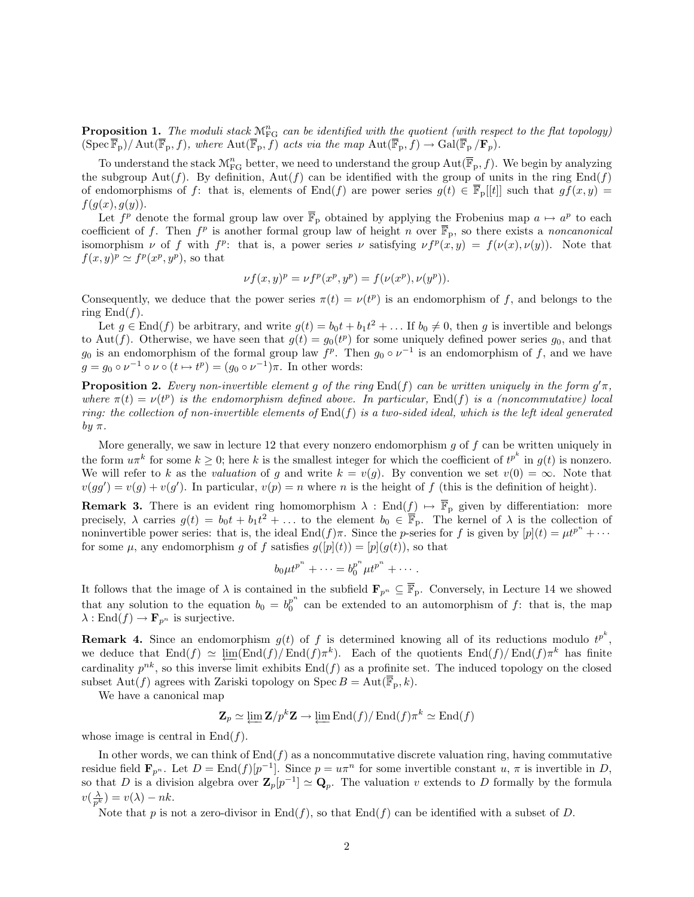**Proposition 1.** The moduli stack  $\mathcal{M}_{FG}^{n}$  can be identified with the quotient (with respect to the flat topology)  $(\text{Spec } \overline{\mathbb{F}}_p)/\text{Aut}(\overline{\mathbb{F}}_p, f),$  where  $\text{Aut}(\overline{\mathbb{F}}_p, f)$  acts via the map  $\text{Aut}(\overline{\mathbb{F}}_p, f) \to \text{Gal}(\overline{\mathbb{F}}_p/\mathbf{F}_p)$ .

To understand the stack  $\mathcal{M}^n_{\mathrm{FG}}$  better, we need to understand the group  $\mathrm{Aut}(\overline{\mathbb{F}}_p,f)$ . We begin by analyzing the subgroup Aut(f). By definition,  $Aut(f)$  can be identified with the group of units in the ring  $End(f)$ of endomorphisms of f: that is, elements of End(f) are power series  $g(t) \in \mathbb{F}_p[[t]]$  such that  $gf(x, y) =$  $f(g(x), g(y))$ .

Let  $f^p$  denote the formal group law over  $\overline{\mathbb{F}}_p$  obtained by applying the Frobenius map  $a \mapsto a^p$  to each coefficient of f. Then  $f^p$  is another formal group law of height n over  $\overline{\mathbb{F}}_p$ , so there exists a noncanonical isomorphism  $\nu$  of f with  $f^p$ : that is, a power series  $\nu$  satisfying  $\nu f^p(x,y) = f(\nu(x), \nu(y))$ . Note that  $f(x,y)^p \simeq f^p(x^p, y^p)$ , so that

$$
\nu f(x, y)^p = \nu f^p(x^p, y^p) = f(\nu(x^p), \nu(y^p)).
$$

Consequently, we deduce that the power series  $\pi(t) = \nu(t^p)$  is an endomorphism of f, and belongs to the ring  $\text{End}(f)$ .

Let  $g \in \text{End}(f)$  be arbitrary, and write  $g(t) = b_0 t + b_1 t^2 + \dots$  If  $b_0 \neq 0$ , then g is invertible and belongs to Aut(f). Otherwise, we have seen that  $g(t) = g_0(t^p)$  for some uniquely defined power series  $g_0$ , and that  $g_0$  is an endomorphism of the formal group law  $f^p$ . Then  $g_0 \circ \nu^{-1}$  is an endomorphism of f, and we have  $g = g_0 \circ \nu^{-1} \circ \nu \circ (t \mapsto t^p) = (g_0 \circ \nu^{-1})\pi$ . In other words:

**Proposition 2.** Every non-invertible element g of the ring End(f) can be written uniquely in the form  $g' \pi$ , where  $\pi(t) = \nu(t^p)$  is the endomorphism defined above. In particular, End(f) is a (noncommutative) local ring: the collection of non-invertible elements of  $\text{End}(f)$  is a two-sided ideal, which is the left ideal generated by  $\pi$ .

More generally, we saw in lecture 12 that every nonzero endomorphism  $g$  of  $f$  can be written uniquely in the form  $u\pi^k$  for some  $k\geq 0$ ; here k is the smallest integer for which the coefficient of  $t^{p^k}$  in  $g(t)$  is nonzero. We will refer to k as the valuation of g and write  $k = v(g)$ . By convention we set  $v(0) = \infty$ . Note that  $v(gg') = v(g) + v(g')$ . In particular,  $v(p) = n$  where n is the height of f (this is the definition of height).

**Remark 3.** There is an evident ring homomorphism  $\lambda : \text{End}(f) \mapsto \overline{\mathbb{F}}_p$  given by differentiation: more precisely,  $\lambda$  carries  $g(t) = b_0 t + b_1 t^2 + \ldots$  to the element  $b_0 \in \overline{\mathbb{F}}_p$ . The kernel of  $\lambda$  is the collection of noninvertible power series: that is, the ideal End $(f)\pi$ . Since the *p*-series for f is given by  $[p](t) = \mu t^{p^n} + \cdots$ for some  $\mu$ , any endomorphism g of f satisfies  $g([p](t)) = [p](g(t))$ , so that

$$
b_0\mu t^{p^n}+\cdots=b_0^{p^n}\mu t^{p^n}+\cdots.
$$

It follows that the image of  $\lambda$  is contained in the subfield  $\mathbf{F}_{p^n} \subseteq \mathbb{F}_p$ . Conversely, in Lecture 14 we showed that any solution to the equation  $b_0 = b_0^{p^n}$  $_0^p$  can be extended to an automorphism of f: that is, the map  $\lambda: \text{End}(f) \to \mathbf{F}_{p^n}$  is surjective.

**Remark 4.** Since an endomorphism  $g(t)$  of f is determined knowing all of its reductions modulo  $t^{p^k}$ , we deduce that  $\text{End}(f) \simeq \lim_{\epsilon \to 0} (\text{End}(f)/\text{End}(f)\pi^k)$ . Each of the quotients  $\text{End}(f)/\text{End}(f)\pi^k$  has finite cardinality  $p^{nk}$ , so this inverse limit exhibits  $\text{End}(f)$  as a profinite set. The induced topology on the closed subset Aut(f) agrees with Zariski topology on Spec  $B = \text{Aut}(\overline{\mathbb{F}}_p, k)$ .

We have a canonical map

$$
\mathbf{Z}_p \simeq \underleftarrow{\lim} \mathbf{Z}/p^k \mathbf{Z} \to \underleftarrow{\lim} \mathrm{End}(f)/\mathrm{End}(f)\pi^k \simeq \mathrm{End}(f)
$$

whose image is central in  $\text{End}(f)$ .

In other words, we can think of  $\text{End}(f)$  as a noncommutative discrete valuation ring, having commutative residue field  $\mathbf{F}_{p^n}$ . Let  $D = \text{End}(f)[p^{-1}]$ . Since  $p = u\pi^n$  for some invertible constant  $u, \pi$  is invertible in D, so that D is a division algebra over  $\mathbf{Z}_p[p^{-1}] \simeq \mathbf{Q}_p$ . The valuation v extends to D formally by the formula  $v(\frac{\lambda}{p^k}) = v(\lambda) - nk.$ 

Note that p is not a zero-divisor in End(f), so that End(f) can be identified with a subset of D.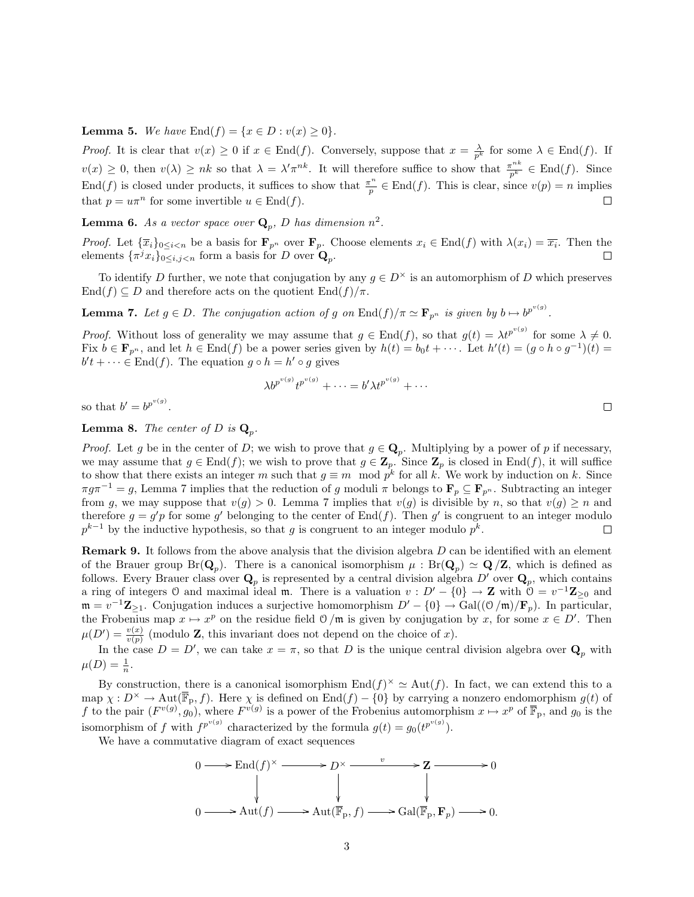**Lemma 5.** We have  $\text{End}(f) = \{x \in D : v(x) \ge 0\}.$ 

*Proof.* It is clear that  $v(x) \ge 0$  if  $x \in \text{End}(f)$ . Conversely, suppose that  $x = \frac{\lambda}{p^k}$  for some  $\lambda \in \text{End}(f)$ . If  $v(x) \geq 0$ , then  $v(\lambda) \geq nk$  so that  $\lambda = \lambda' \pi^{nk}$ . It will therefore suffice to show that  $\frac{\pi^{nk}}{p^k} \in \text{End}(f)$ . Since End(f) is closed under products, it suffices to show that  $\frac{\pi^n}{n}$  $\frac{e^{n}}{p} \in \text{End}(f)$ . This is clear, since  $v(p) = n$  implies that  $p = u\pi^n$  for some invertible  $u \in \text{End}(f)$ .  $\Box$ 

**Lemma 6.** As a vector space over  $\mathbf{Q}_p$ , D has dimension  $n^2$ .

*Proof.* Let  $\{\overline{x}_i\}_{0 \leq i \leq n}$  be a basis for  $\mathbf{F}_{p^n}$  over  $\mathbf{F}_p$ . Choose elements  $x_i \in \text{End}(f)$  with  $\lambda(x_i) = \overline{x_i}$ . Then the elements  $\{\pi^j x_i\}_{0 \le i,j \le n}$  form a basis for D over  $\mathbf{Q}_p$ . П

To identify D further, we note that conjugation by any  $q \in D^{\times}$  is an automorphism of D which preserves  $\text{End}(f) \subseteq D$  and therefore acts on the quotient  $\text{End}(f)/\pi$ .

**Lemma 7.** Let  $g \in D$ . The conjugation action of g on  $\text{End}(f)/\pi \simeq \mathbf{F}_{p^n}$  is given by  $b \mapsto b^{p^{v(g)}}$ .

*Proof.* Without loss of generality we may assume that  $g \in \text{End}(f)$ , so that  $g(t) = \lambda t^{p^{v(g)}}$  for some  $\lambda \neq 0$ . Fix  $b \in \mathbf{F}_{p^n}$ , and let  $h \in \text{End}(f)$  be a power series given by  $h(t) = b_0 t + \cdots$ . Let  $h'(t) = (g \circ h \circ g^{-1})(t) =$  $b't + \cdots \in \text{End}(f)$ . The equation  $g \circ h = h' \circ g$  gives

$$
\lambda b^{p^{v(g)}} t^{p^{v(g)}} + \cdots = b' \lambda t^{p^{v(g)}} + \cdots
$$

so that  $b' = b^{p^{v(g)}}$ .

## **Lemma 8.** The center of D is  $\mathbf{Q}_p$ .

*Proof.* Let g be in the center of D; we wish to prove that  $g \in \mathbf{Q}_p$ . Multiplying by a power of p if necessary, we may assume that  $g \in \text{End}(f)$ ; we wish to prove that  $g \in \mathbb{Z}_p$ . Since  $\mathbb{Z}_p$  is closed in End(f), it will suffice to show that there exists an integer m such that  $g \equiv m \mod p^k$  for all k. We work by induction on k. Since  $\pi g \pi^{-1} = g$ , Lemma 7 implies that the reduction of g moduli  $\pi$  belongs to  $\mathbf{F}_p \subseteq \mathbf{F}_{p^n}$ . Subtracting an integer from g, we may suppose that  $v(g) > 0$ . Lemma 7 implies that  $v(g)$  is divisible by n, so that  $v(g) \ge n$  and therefore  $g = g'p$  for some g' belonging to the center of  $\text{End}(f)$ . Then g' is congruent to an integer modulo  $p^{k-1}$  by the inductive hypothesis, so that g is congruent to an integer modulo  $p^k$ .  $\Box$ 

Remark 9. It follows from the above analysis that the division algebra D can be identified with an element of the Brauer group  $Br(\mathbf{Q}_p)$ . There is a canonical isomorphism  $\mu : Br(\mathbf{Q}_p) \simeq \mathbf{Q}/\mathbf{Z}$ , which is defined as follows. Every Brauer class over  $\mathbf{Q}_p$  is represented by a central division algebra  $D'$  over  $\mathbf{Q}_p$ , which contains a ring of integers 0 and maximal ideal m. There is a valuation  $v : D' - \{0\} \to \mathbb{Z}$  with  $\mathbb{O} = v^{-1} \mathbb{Z}_{\geq 0}$  and  $\mathfrak{m} = v^{-1}\mathbf{Z}_{\geq 1}$ . Conjugation induces a surjective homomorphism  $D' - \{0\} \to \text{Gal}((\mathfrak{O}/\mathfrak{m})/\mathbf{F}_p)$ . In particular, the Frobenius map  $x \mapsto x^p$  on the residue field  $\mathcal{O}/\mathfrak{m}$  is given by conjugation by x, for some  $x \in D'$ . Then  $\mu(D') = \frac{v(x)}{v(p)}$  (modulo **Z**, this invariant does not depend on the choice of x).

In the case  $D = D'$ , we can take  $x = \pi$ , so that D is the unique central division algebra over  $\mathbf{Q}_p$  with  $\mu(D) = \frac{1}{n}.$ 

By construction, there is a canonical isomorphism  $\text{End}(f)^{\times} \simeq \text{Aut}(f)$ . In fact, we can extend this to a map  $\chi : D^{\times} \to \text{Aut}(\overline{\mathbb{F}}_p, f)$ . Here  $\chi$  is defined on End $(f) - \{0\}$  by carrying a nonzero endomorphism  $g(t)$  of f to the pair  $(F^{v(g)}, g_0)$ , where  $F^{v(g)}$  is a power of the Frobenius automorphism  $x \mapsto x^p$  of  $\overline{\mathbb{F}}_p$ , and  $g_0$  is the isomorphism of f with  $f^{p^{v(g)}}$  characterized by the formula  $g(t) = g_0(t^{p^{v(g)}})$ .

We have a commutative diagram of exact sequences

$$
0 \longrightarrow \text{End}(f)^{\times} \longrightarrow D^{\times} \longrightarrow Z \longrightarrow 0
$$
  
\n
$$
\downarrow \qquad \qquad \downarrow \qquad \qquad \downarrow
$$
  
\n
$$
0 \longrightarrow \text{Aut}(f) \longrightarrow \text{Aut}(\overline{\mathbb{F}}_{p}, f) \longrightarrow \text{Gal}(\overline{\mathbb{F}}_{p}, \mathbf{F}_{p}) \longrightarrow 0.
$$